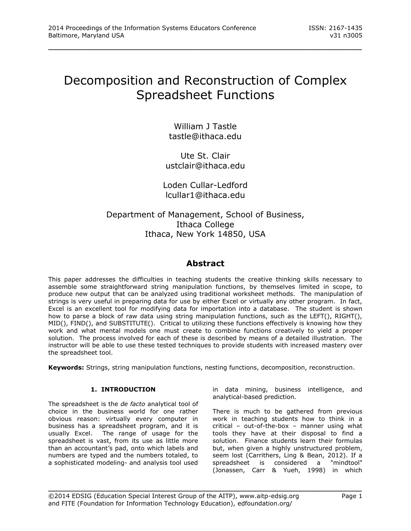# Decomposition and Reconstruction of Complex Spreadsheet Functions

\_\_\_\_\_\_\_\_\_\_\_\_\_\_\_\_\_\_\_\_\_\_\_\_\_\_\_\_\_\_\_\_\_\_\_\_\_\_\_\_\_\_\_\_\_\_\_\_\_

William J Tastle tastle@ithaca.edu

Ute St. Clair ustclair@ithaca.edu

Loden Cullar-Ledford lcullar1@ithaca.edu

# Department of Management, School of Business, Ithaca College Ithaca, New York 14850, USA

# **Abstract**

This paper addresses the difficulties in teaching students the creative thinking skills necessary to assemble some straightforward string manipulation functions, by themselves limited in scope, to produce new output that can be analyzed using traditional worksheet methods. The manipulation of strings is very useful in preparing data for use by either Excel or virtually any other program. In fact, Excel is an excellent tool for modifying data for importation into a database. The student is shown how to parse a block of raw data using string manipulation functions, such as the LEFT(), RIGHT(), MID(), FIND(), and SUBSTITUTE(). Critical to utilizing these functions effectively is knowing how they work and what mental models one must create to combine functions creatively to yield a proper solution. The process involved for each of these is described by means of a detailed illustration. The instructor will be able to use these tested techniques to provide students with increased mastery over the spreadsheet tool.

**Keywords:** Strings, string manipulation functions, nesting functions, decomposition, reconstruction.

\_\_\_\_\_\_\_\_\_\_\_\_\_\_\_\_\_\_\_\_\_\_\_\_\_\_\_\_\_\_\_\_\_\_\_\_\_\_\_\_\_\_\_\_\_\_\_\_\_

## **1. INTRODUCTION**

The spreadsheet is the *de facto* analytical tool of choice in the business world for one rather obvious reason: virtually every computer in business has a spreadsheet program, and it is usually Excel. The range of usage for the spreadsheet is vast, from its use as little more than an accountant's pad, onto which labels and numbers are typed and the numbers totaled, to a sophisticated modeling- and analysis tool used

in data mining, business intelligence, and analytical-based prediction.

There is much to be gathered from previous work in teaching students how to think in a critical – out-of-the-box – manner using what tools they have at their disposal to find a solution. Finance students learn their formulas but, when given a highly unstructured problem, seem lost (Carrithers, Ling & Bean, 2012). If a spreadsheet is considered a "mindtool" (Jonassen, Carr & Yueh, 1998) in which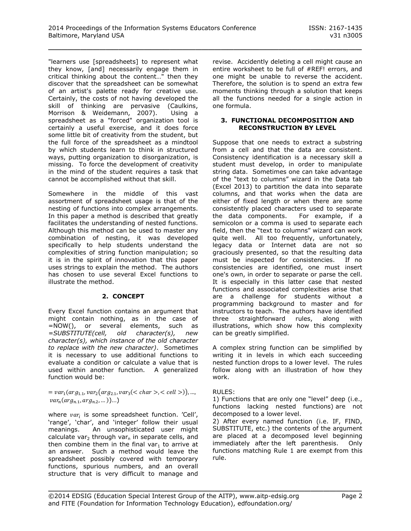"learners use [spreadsheets] to represent what they know, [and] necessarily engage them in critical thinking about the content…" then they discover that the spreadsheet can be somewhat of an artist's palette ready for creative use. Certainly, the costs of not having developed the skill of thinking are pervasive (Caulkins, Morrison & Weidemann, 2007). Using a spreadsheet as a "forced" organization tool is certainly a useful exercise, and it does force some little bit of creativity from the student, but the full force of the spreadsheet as a mindtool by which students learn to think in structured ways, putting organization to disorganization, is missing. To force the development of creativity in the mind of the student requires a task that cannot be accomplished without that skill.

Somewhere in the middle of this vast assortment of spreadsheet usage is that of the nesting of functions into complex arrangements. In this paper a method is described that greatly facilitates the understanding of nested functions. Although this method can be used to master any combination of nesting, it was developed specifically to help students understand the complexities of string function manipulation; so it is in the spirit of innovation that this paper uses strings to explain the method. The authors has chosen to use several Excel functions to illustrate the method.

## **2. CONCEPT**

Every Excel function contains an argument that might contain nothing, as in the case of =NOW(), or several elements, such as *=SUBSTITUTE(cell, old character(s), new character(s), which instance of the old character to replace with the new character)*. Sometimes it is necessary to use additional functions to evaluate a condition or calculate a value that is used within another function. A generalized function would be:

#### $= var_1(arg_{1.1}, var_2(arg_{2.1}, var_3(< char>, < cell>$ )),  $var_n(arg_{n,1}, arg_{n,2}, ...)$ ...

where  $var_i$  is some spreadsheet function. 'Cell', 'range', 'char', and 'integer' follow their usual meanings. An unsophisticated user might calculate var<sub>2</sub> through var<sub>n</sub> in separate cells, and then combine them in the final var<sub>1</sub> to arrive at an answer. Such a method would leave the spreadsheet possibly covered with temporary functions, spurious numbers, and an overall structure that is very difficult to manage and

revise. Accidently deleting a cell might cause an entire worksheet to be full of #REF! errors, and one might be unable to reverse the accident. Therefore, the solution is to spend an extra few moments thinking through a solution that keeps all the functions needed for a single action in one formula.

#### **3. FUNCTIONAL DECOMPOSITION AND RECONSTRUCTION BY LEVEL**

Suppose that one needs to extract a substring from a cell and that the data are consistent. Consistency identification is a necessary skill a student must develop, in order to manipulate string data. Sometimes one can take advantage of the "text to columns" wizard in the Data tab (Excel 2013) to partition the data into separate columns, and that works when the data are either of fixed length or when there are some consistently placed characters used to separate the data components. For example, if a semicolon or a comma is used to separate each field, then the "text to columns" wizard can work quite well. All too frequently, unfortunately, legacy data or Internet data are not so graciously presented, so that the resulting data must be inspected for consistencies. If no consistencies are identified, one must insert one's own, in order to separate or parse the cell. It is especially in this latter case that nested functions and associated complexities arise that are a challenge for students without a programming background to master and for instructors to teach. The authors have identified three straightforward rules, along with illustrations, which show how this complexity can be greatly simplified.

A complex string function can be simplified by writing it in levels in which each succeeding nested function drops to a lower level. The rules follow along with an illustration of how they work.

## RULES:

1) Functions that are only one "level" deep (i.e., functions lacking nested functions) are not decomposed to a lower level.

2) After every named function (i.e. IF, FIND, SUBSTITUTE, etc.) the contents of the argument are placed at a decomposed level beginning immediately after the left parenthesis. Only functions matching Rule 1 are exempt from this rule.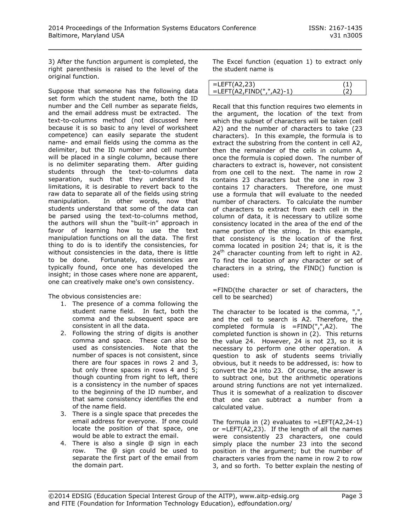3) After the function argument is completed, the right parenthesis is raised to the level of the original function.

Suppose that someone has the following data set form which the student name, both the ID number and the Cell number as separate fields, and the email address must be extracted. The text-to-columns method (not discussed here because it is so basic to any level of worksheet competence) can easily separate the student name- and email fields using the comma as the delimiter, but the ID number and cell number will be placed in a single column, because there is no delimiter separating them. After guiding students through the text-to-columns data separation, such that they understand its limitations, it is desirable to revert back to the raw data to separate all of the fields using string manipulation. In other words, now that students understand that some of the data can be parsed using the text-to-columns method, the authors will shun the "built-in" approach in favor of learning how to use the text manipulation functions on all the data. The first thing to do is to identify the consistencies, for without consistencies in the data, there is little to be done. Fortunately, consistencies are typically found, once one has developed the insight; in those cases where none are apparent, one can creatively make one's own consistency.

The obvious consistencies are:

- 1. The presence of a comma following the student name field. In fact, both the comma and the subsequent space are consistent in all the data.
- 2. Following the string of digits is another comma and space. These can also be used as consistencies. Note that the number of spaces is not consistent, since there are four spaces in rows 2 and 3, but only three spaces in rows 4 and 5; though counting from right to left, there is a consistency in the number of spaces to the beginning of the ID number, and that same consistency identifies the end of the name field.
- 3. There is a single space that precedes the email address for everyone. If one could locate the position of that space, one would be able to extract the email.
- 4. There is also a single @ sign in each row. The @ sign could be used to separate the first part of the email from the domain part.

The Excel function (equation 1) to extract only the student name is

| . =LEFT(A2,23)           |  |
|--------------------------|--|
| =LEFT(A2,FIND(",",A2)-1) |  |

Recall that this function requires two elements in the argument, the location of the text from which the subset of characters will be taken (cell A2) and the number of characters to take (23 characters). In this example, the formula is to extract the substring from the content in cell A2, then the remainder of the cells in column A, once the formula is copied down. The number of characters to extract is, however, not consistent from one cell to the next. The name in row 2 contains 23 characters but the one in row 3 contains 17 characters. Therefore, one must use a formula that will evaluate to the needed number of characters. To calculate the number of characters to extract from each cell in the column of data, it is necessary to utilize some consistency located in the area of the end of the name portion of the string. In this example, that consistency is the location of the first comma located in position 24; that is, it is the  $24<sup>th</sup>$  character counting from left to right in A2. To find the location of any character or set of characters in a string, the FIND() function is used:

=FIND(the character or set of characters, the cell to be searched)

The character to be located is the comma, ",", and the cell to search is A2. Therefore, the completed formula is =FIND(",",A2). The completed function is shown in (2). This returns the value 24. However, 24 is not 23, so it is necessary to perform one other operation. A question to ask of students seems trivially obvious, but it needs to be addressed, is: how to convert the 24 into 23. Of course, the answer is to subtract one, but the arithmetic operations around string functions are not yet internalized. Thus it is somewhat of a realization to discover that one can subtract a number from a calculated value.

The formula in  $(2)$  evaluates to =LEFT $(A2,24-1)$ or  $=$ LEFT(A2,23). If the length of all the names were consistently 23 characters, one could simply place the number 23 into the second position in the argument; but the number of characters varies from the name in row 2 to row 3, and so forth. To better explain the nesting of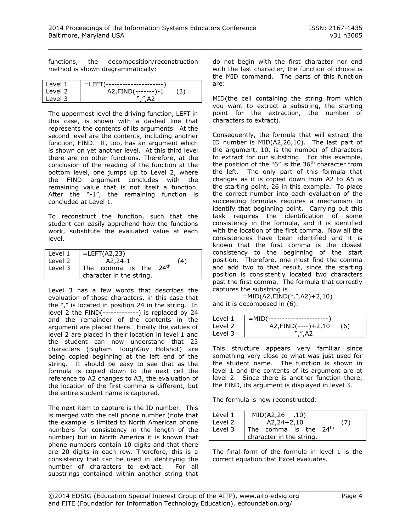functions, the decomposition/reconstruction method is shown diagrammatically:

| l Level 1 | =LEFT(------------------- |  |
|-----------|---------------------------|--|
| l Level 2 | $A2$ , $FIND$ (-------)-1 |  |
| l Level 3 | $W''$ $\Delta$ 2          |  |

The uppermost level the driving function, LEFT in this case, is shown with a dashed line that represents the contents of its arguments. At the second level are the contents, including another function, FIND. It, too, has an argument which is shown on yet another level. At this third level there are no other functions. Therefore, at the conclusion of the reading of the function at the bottom level, one jumps up to Level 2, where the FIND argument concludes with the remaining value that is not itself a function. After the "-1", the remaining function is concluded at Level 1.

To reconstruct the function, such that the student can easily apprehend how the functions work, substitute the evaluated value at each level.

| Level 1 | $\vert$ =LEFT(A2,23)     |  |
|---------|--------------------------|--|
| Level 2 | $A2.24-1$<br>(4)         |  |
| Level 3 | The comma is the $24th$  |  |
|         | character in the string. |  |

Level 3 has a few words that describes the evaluation of those characters, in this case that the "," is located in position 24 in the string. In level 2 the FIND(-------------) is replaced by 24 and the remainder of the contents in the argument are placed there. Finally the values of level 2 are placed in their location in level 1 and the student can now understand that 23 characters (Bigham ToughGuy Hotshot) are being copied beginning at the left end of the string. It should be easy to see that as the formula is copied down to the next cell the reference to A2 changes to A3, the evaluation of the location of the first comma is different, but the entire student name is captured.

The next item to capture is the ID number. This is merged with the cell phone number (note that the example is limited to North American phone numbers for consistency in the length of the number) but in North America it is known that phone numbers contain 10 digits and that there are 20 digits in each row. Therefore, this is a consistency that can be used in identifying the number of characters to extract. For all substrings contained within another string that

do not begin with the first character nor end with the last character, the function of choice is the MID command. The parts of this function are:

MID(the cell containing the string from which you want to extract a substring, the starting point for the extraction, the number of characters to extract).

Consequently, the formula that will extract the ID number is MID(A2,26,10). The last part of the argument, 10, is the number of characters to extract for our substring. For this example, the position of the "6" is the  $36<sup>th</sup>$  character from the left. The only part of this formula that changes as it is copied down from A2 to A5 is the starting point, 26 in this example. To place the correct number into each evaluation of the succeeding formulas requires a mechanism to identify that beginning point. Carrying out this task requires the identification of some consistency in the formula, and it is identified with the location of the first comma. Now all the consistencies have been identified and it is known that the first comma is the closest consistency to the beginning of the start position. Therefore, one must find the comma and add two to that result, since the starting position is consistently located two characters past the first comma. The formula that correctly captures the substring is

=MID(A2,FIND(",",A2)+2,10) and it is decomposed in (6).

| Level 1 | - =MID(------------------------- |     |
|---------|----------------------------------|-----|
| Level 2 | $A2$ , $FIND$ (----) + 2, 10     | (6) |
| Level 3 | ",",A2                           |     |

This structure appears very familiar since something very close to what was just used for the student name. The function is shown in level 1 and the contents of its argument are at level 2. Since there is another function there, the FIND, its argument is displayed in level 3.

The formula is now reconstructed:

| Level 1 | MID(A2,26, 10)                       |     |  |  |  |
|---------|--------------------------------------|-----|--|--|--|
| Level 2 | $A2,24+2,10$                         | (7) |  |  |  |
| Level 3 | 24 <sup>th</sup><br>The comma is the |     |  |  |  |
|         | character in the string.             |     |  |  |  |

The final form of the formula in level 1 is the correct equation that Excel evaluates.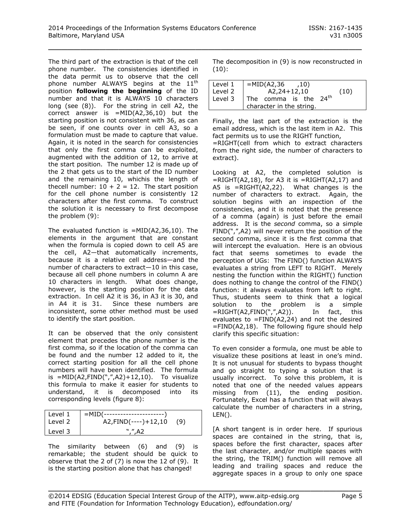The third part of the extraction is that of the cell phone number. The consistencies identified in the data permit us to observe that the cell phone number ALWAYS begins at the 11<sup>th</sup> position **following the beginning** of the ID number and that it is ALWAYS 10 characters long (see (8)). For the string in cell A2, the correct answer is =MID(A2,36,10) but the starting position is not consistent with 36, as can be seen, if one counts over in cell A3, so a formulation must be made to capture that value. Again, it is noted in the search for consistencies that only the first comma can be exploited, augmented with the addition of 12, to arrive at the start position. The number 12 is made up of the 2 that gets us to the start of the ID number and the remaining 10, whichis the length of thecell number:  $10 + 2 = 12$ . The start position for the cell phone number is consistently 12 characters after the first comma. To construct the solution it is necessary to first decompose the problem (9):

The evaluated function is  $=MID(A2,36,10)$ . The elements in the argument that are constant when the formula is copied down to cell A5 are the cell, A2—that automatically increments, because it is a relative cell address—and the number of characters to extract—10 in this case, because all cell phone numbers in column A are 10 characters in length. What does change, however, is the starting position for the data extraction. In cell A2 it is 36, in A3 it is 30, and in A4 it is 31. Since these numbers are inconsistent, some other method must be used to identify the start position.

It can be observed that the only consistent element that precedes the phone number is the first comma, so if the location of the comma can be found and the number 12 added to it, the correct starting position for all the cell phone numbers will have been identified. The formula is  $=MID(A2, FIND(", ", A2)+12,10)$ . To visualize this formula to make it easier for students to understand, it is decomposed into its corresponding levels (figure 8):

| Level 1 | =MID(-----------------------                   |     |
|---------|------------------------------------------------|-----|
| Level 2 | $A2$ , $FIND$ $\left($ ---- $\right)$ + 12, 10 | (9) |
| Level 3 | ".''.A2                                        |     |

The similarity between (6) and (9) is remarkable; the student should be quick to observe that the 2 of (7) is now the 12 of (9). It is the starting position alone that has changed!

The decomposition in (9) is now reconstructed in (10):

| Level 1 | $=MID(A2,36)$<br>.10)             |      |  |  |  |  |
|---------|-----------------------------------|------|--|--|--|--|
| Level 2 | $A2,24+12,10$                     | (10) |  |  |  |  |
| Level 3 | The comma is the 24 <sup>th</sup> |      |  |  |  |  |
|         | character in the string.          |      |  |  |  |  |

Finally, the last part of the extraction is the email address, which is the last item in A2. This fact permits us to use the RIGHT function,

=RIGHT(cell from which to extract characters from the right side, the number of characters to extract).

Looking at A2, the completed solution is  $=$ RIGHT(A2,18), for A3 it is  $=$ RIGHT(A2,17) and A5 is =RIGHT(A2,22). What changes is the number of characters to extract. Again, the solution begins with an inspection of the consistencies, and it is noted that the presence of a comma (again) is just before the email address. It is the *second* comma, so a simple FIND(",",A2) will never return the position of the second comma, since it is the first comma that will intercept the evaluation. Here is an obvious fact that seems sometimes to evade the perception of UGs: The FIND() function ALWAYS evaluates a string from LEFT to RIGHT. Merely nesting the function within the RIGHT() function does nothing to change the control of the FIND() function: it always evaluates from left to right. Thus, students seem to think that a logical solution to the problem is a simple =RIGHT(A2,FIND(",",A2)). In fact, this evaluates to =FIND(A2,24) and not the desired  $=$  FIND(A2,18). The following figure should help clarify this specific situation:

To even consider a formula, one must be able to visualize these positions at least in one's mind. It is not unusual for students to bypass thought and go straight to typing a solution that is usually incorrect. To solve this problem, it is noted that one of the needed values appears missing from (11), the ending position. Fortunately, Excel has a function that will always calculate the number of characters in a string,  $LEN()$ .

[A short tangent is in order here. If spurious spaces are contained in the string, that is, spaces before the first character, spaces after the last character, and/or multiple spaces with the string, the TRIM() function will remove all leading and trailing spaces and reduce the aggregate spaces in a group to only one space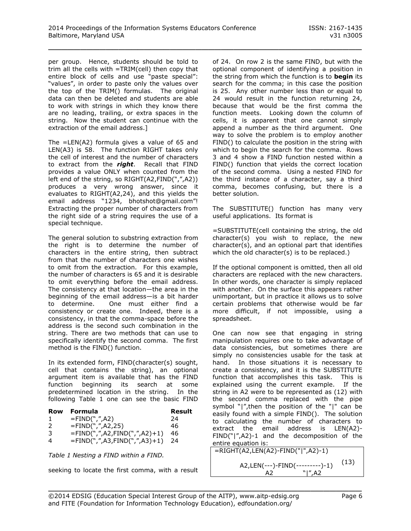per group. Hence, students should be told to trim all the cells with =TRIM(cell) then copy that entire block of cells and use "paste special": "values", in order to paste only the values over the top of the TRIM() formulas. The original data can then be deleted and students are able to work with strings in which they know there are no leading, trailing, or extra spaces in the string. Now the student can continue with the extraction of the email address.]

The =LEN(A2) formula gives a value of 65 and LEN(A3) is 58. The function RIGHT takes only the cell of interest and the number of characters to extract from the *right*. Recall that FIND provides a value ONLY when counted from the left end of the string, so RIGHT(A2,FIND(",",A2)) produces a very wrong answer, since it evaluates to RIGHT(A2,24), and this yields the email address "1234, bhotshot@gmail.com"! Extracting the proper number of characters from the right side of a string requires the use of a special technique.

The general solution to substring extraction from the right is to determine the number of characters in the entire string, then subtract from that the number of characters one wishes to omit from the extraction. For this example, the number of characters is 65 and it is desirable to omit everything before the email address. The consistency at that location—the area in the beginning of the email address—is a bit harder to determine. One must either find a consistency or create one. Indeed, there is a consistency, in that the comma-space before the address is the second such combination in the string. There are two methods that can use to specifically identify the second comma. The first method is the FIND() function.

In its extended form, FIND(character(s) sought, cell that contains the string), an optional argument item is available that has the FIND function beginning its search at some predetermined location in the string. In the following [Table 1](#page-5-0) one can see the basic FIND

| Row           | Formula                         | Result |
|---------------|---------------------------------|--------|
|               | $=FIND("," A2)$                 | 24     |
| $\mathcal{L}$ | $=$ FIND(",",A2,25)             | 46     |
| 3             | $=$ FIND(",",A2,FIND(",",A2)+1) | 46     |
| 4             | $=$ FIND(",",A3,FIND(",",A3)+1) | 24     |

<span id="page-5-0"></span>

seeking to locate the first comma, with a result

of 24. On row 2 is the same FIND, but with the optional component of identifying a position in the string from which the function is to **begin** its search for the comma; in this case the position is 25. Any other number less than or equal to 24 would result in the function returning 24, because that would be the first comma the function meets. Looking down the column of cells, it is apparent that one cannot simply append a number as the third argument. One way to solve the problem is to employ another FIND() to calculate the position in the string with which to begin the search for the comma. Rows 3 and 4 show a FIND function nested within a FIND() function that yields the correct location of the second comma. Using a nested FIND for the third instance of a character, say a third comma, becomes confusing, but there is a better solution.

The SUBSTITUTE() function has many very useful applications. Its format is

=SUBSTITUTE(cell containing the string, the old character(s) you wish to replace, the new character(s), and an optional part that identifies which the old character(s) is to be replaced.)

If the optional component is omitted, then all old characters are replaced with the new characters. In other words, one character is simply replaced with another. On the surface this appears rather unimportant, but in practice it allows us to solve certain problems that otherwise would be far more difficult, if not impossible, using a spreadsheet.

One can now see that engaging in string manipulation requires one to take advantage of data consistencies, but sometimes there are simply no consistencies usable for the task at hand. In those situations it is necessary to create a consistency, and it is the SUBSTITUTE function that accomplishes this task. This is explained using the current example. If the string in A2 were to be represented as (12) with the second comma replaced with the pipe symbol "|",then the position of the "|" can be easily found with a simple FIND(). The solution to calculating the number of characters to extract the email address is LEN(A2)- FIND("|",A2)-1 and the decomposition of the entire equation is:

*Table 1 Nesting a FIND within a FIND.*  $\boxed{\phantom{a}$  =RIGHT(A2,LEN(A2)-FIND("|",A2)-1) (13) A2,LEN(---)-FIND(---------)-1)  $A2 \times N''$ ,  $A2$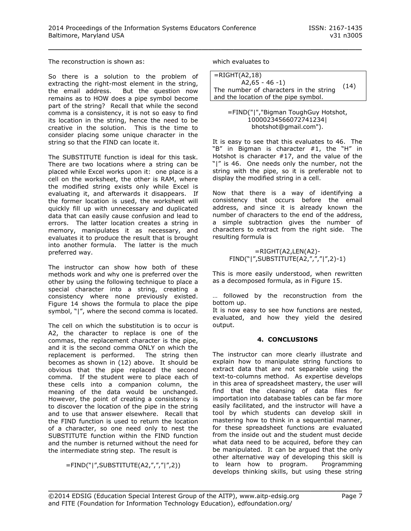The reconstruction is shown as:

So there is a solution to the problem of extracting the right-most element in the string, the email address. But the question now remains as to HOW does a pipe symbol become part of the string? Recall that while the second comma is a consistency, it is not so easy to find its location in the string, hence the need to be creative in the solution. This is the time to consider placing some unique character in the string so that the FIND can locate it.

The SUBSTITUTE function is ideal for this task. There are two locations where a string can be placed while Excel works upon it: one place is a cell on the worksheet, the other is RAM, where the modified string exists only while Excel is evaluating it, and afterwards it disappears. If the former location is used, the worksheet will quickly fill up with unnecessary and duplicated data that can easily cause confusion and lead to errors. The latter location creates a string in memory, manipulates it as necessary, and evaluates it to produce the result that is brought into another formula. The latter is the much preferred way.

The instructor can show how both of these methods work and why one is preferred over the other by using the following technique to place a special character into a string, creating a consistency where none previously existed. Figure 14 shows the formula to place the pipe symbol, "|", where the second comma is located.

The cell on which the substitution is to occur is A2, the character to replace is one of the commas, the replacement character is the pipe, and it is the second comma ONLY on which the replacement is performed. The string then becomes as shown in (12) above. It should be obvious that the pipe replaced the second comma. If the student were to place each of these cells into a companion column, the meaning of the data would be unchanged. However, the point of creating a consistency is to discover the location of the pipe in the string and to use that answer elsewhere. Recall that the FIND function is used to return the location of a character, so one need only to nest the SUBSTITUTE function within the FIND function and the number is returned without the need for the intermediate string step. The result is

=FIND("|",SUBSTITUTE(A2,",","|",2))

which evaluates to

\_\_\_\_\_\_\_\_\_\_\_\_\_\_\_\_\_\_\_\_\_\_\_\_\_\_\_\_\_\_\_\_\_\_\_\_\_\_\_\_\_\_\_\_\_\_\_\_\_

| $=$ RIGHT(A2,18)                       |      |
|----------------------------------------|------|
| $A2.65 - 46 - 1$                       |      |
| The number of characters in the string | (14) |
| and the location of the pipe symbol.   |      |

=FIND("|","Bigman ToughGuy Hotshot, 10000234566072741234| bhotshot@gmail.com").

It is easy to see that this evaluates to 46. The "B" in Bigman is character #1, the "H" in Hotshot is character #17, and the value of the "|" is 46. One needs only the number, not the string with the pipe, so it is preferable not to display the modified string in a cell.

Now that there is a way of identifying a consistency that occurs before the email address, and since it is already known the number of characters to the end of the address, a simple subtraction gives the number of characters to extract from the right side. The resulting formula is

> $=$ RIGHT(A2,LEN(A2)-FIND("|",SUBSTITUTE(A2,",","|",2)-1)

This is more easily understood, when rewritten as a decomposed formula, as in Figure 15.

… followed by the reconstruction from the bottom up.

It is now easy to see how functions are nested, evaluated, and how they yield the desired output.

#### **4. CONCLUSIONS**

The instructor can more clearly illustrate and explain how to manipulate string functions to extract data that are not separable using the text-to-columns method. As expertise develops in this area of spreadsheet mastery, the user will find that the cleansing of data files for importation into database tables can be far more easily facilitated, and the instructor will have a tool by which students can develop skill in mastering how to think in a sequential manner, for these spreadsheet functions are evaluated from the inside out and the student must decide what data need to be acquired, before they can be manipulated. It can be argued that the only other alternative way of developing this skill is to learn how to program. Programming develops thinking skills, but using these string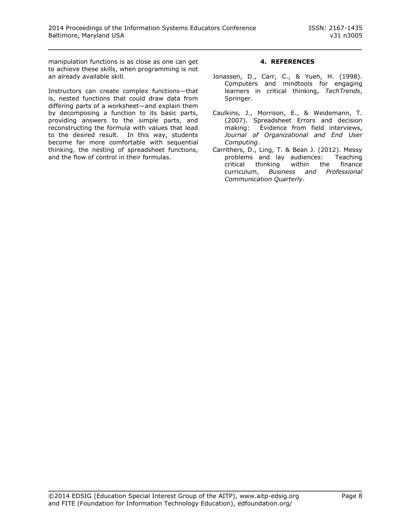manipulation functions is as close as one can get to achieve these skills, when programming is not an already available skill.

Instructors can create complex functions—that is, nested functions that could draw data from differing parts of a worksheet—and explain them by decomposing a function to its basic parts, providing answers to the simple parts, and reconstructing the formula with values that lead to the desired result. In this way, students become far more comfortable with sequential thinking, the nesting of spreadsheet functions, and the flow of control in their formulas.

#### **4. REFERENCES**

- Jonassen, D., Carr, C., & Yueh, H. (1998). Computers and mindtools for engaging learners in critical thinking, *TechTrends*, Springer.
- Caulkins, J., Morrison, E., & Weidemann, T. (2007). Spreadsheet Errors and decision making: Evidence from field interviews, *Journal of Organizational and End User Computing*.
- Carrithers, D., Ling, T. & Bean J. (2012). Messy problems and lay audiences: Teaching critical thinking within the finance curriculum, *Business and Professional Communication Quarterly*.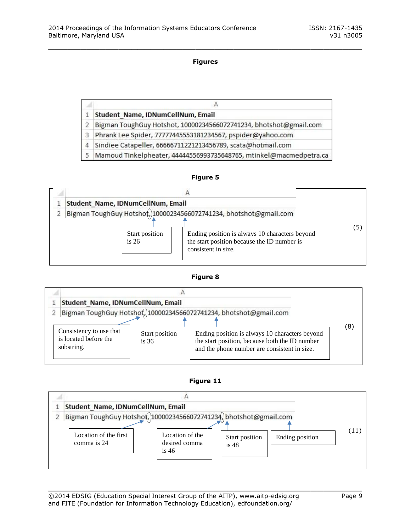# **Figures**

\_\_\_\_\_\_\_\_\_\_\_\_\_\_\_\_\_\_\_\_\_\_\_\_\_\_\_\_\_\_\_\_\_\_\_\_\_\_\_\_\_\_\_\_\_\_\_\_\_

|   | н                                                                 |  |  |
|---|-------------------------------------------------------------------|--|--|
|   | Student Name, IDNumCellNum, Email                                 |  |  |
|   | Bigman ToughGuy Hotshot, 10000234566072741234, bhotshot@gmail.com |  |  |
| 3 | Phrank Lee Spider, 77777445553181234567, pspider@yahoo.com        |  |  |
| 4 | Sindiee Catapeller, 66666711221213456789, scata@hotmail.com       |  |  |
|   |                                                                   |  |  |

5 Mamoud Tinkelpheater, 44444556993735648765, mtinkel@macmedpetra.ca

#### **Figure 5**



#### **Figure 8**

| Student Name, IDNumCellNum, Email                              |                           |                                                                                                                                                                                                                       |  |     |
|----------------------------------------------------------------|---------------------------|-----------------------------------------------------------------------------------------------------------------------------------------------------------------------------------------------------------------------|--|-----|
| Consistency to use that<br>is located before the<br>substring. | Start position<br>is $36$ | Bigman ToughGuy Hotshot, 10000234566072741234, bhotshot@gmail.com<br>Ending position is always 10 characters beyond<br>the start position, because both the ID number<br>and the phone number are consistent in size. |  | (8) |

#### **Figure 11**